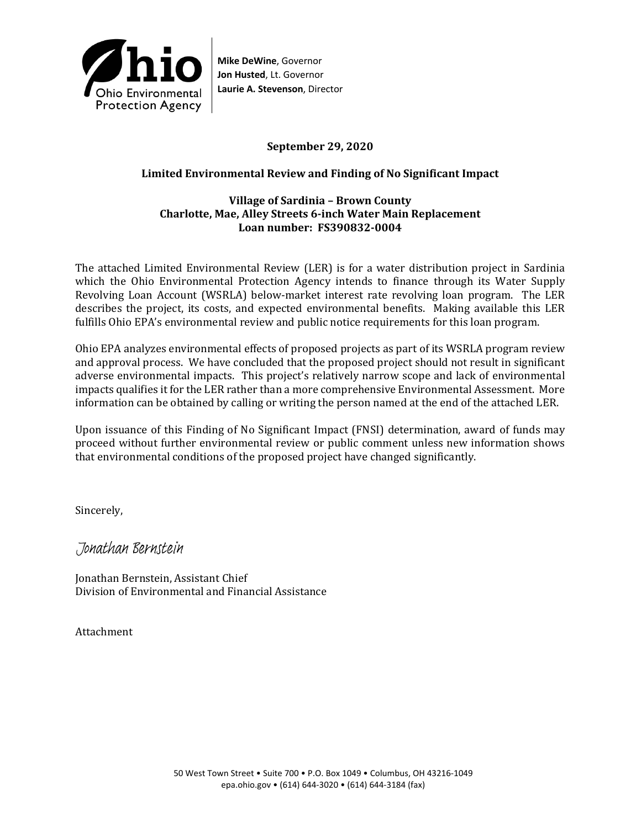

**Mike DeWine**, Governor **Jon Husted**, Lt. Governor **Laurie A. Stevenson**, Director

### **September 29, 2020**

## **Limited Environmental Review and Finding of No Significant Impact**

#### **Village of Sardinia – Brown County Charlotte, Mae, Alley Streets 6-inch Water Main Replacement Loan number: FS390832-0004**

The attached Limited Environmental Review (LER) is for a water distribution project in Sardinia which the Ohio Environmental Protection Agency intends to finance through its Water Supply Revolving Loan Account (WSRLA) below-market interest rate revolving loan program. The LER describes the project, its costs, and expected environmental benefits. Making available this LER fulfills Ohio EPA's environmental review and public notice requirements for this loan program.

Ohio EPA analyzes environmental effects of proposed projects as part of its WSRLA program review and approval process. We have concluded that the proposed project should not result in significant adverse environmental impacts. This project's relatively narrow scope and lack of environmental impacts qualifies it for the LER rather than a more comprehensive Environmental Assessment. More information can be obtained by calling or writing the person named at the end of the attached LER.

Upon issuance of this Finding of No Significant Impact (FNSI) determination, award of funds may proceed without further environmental review or public comment unless new information shows that environmental conditions of the proposed project have changed significantly.

Sincerely,

Jonathan Bernstein

Jonathan Bernstein, Assistant Chief Division of Environmental and Financial Assistance

Attachment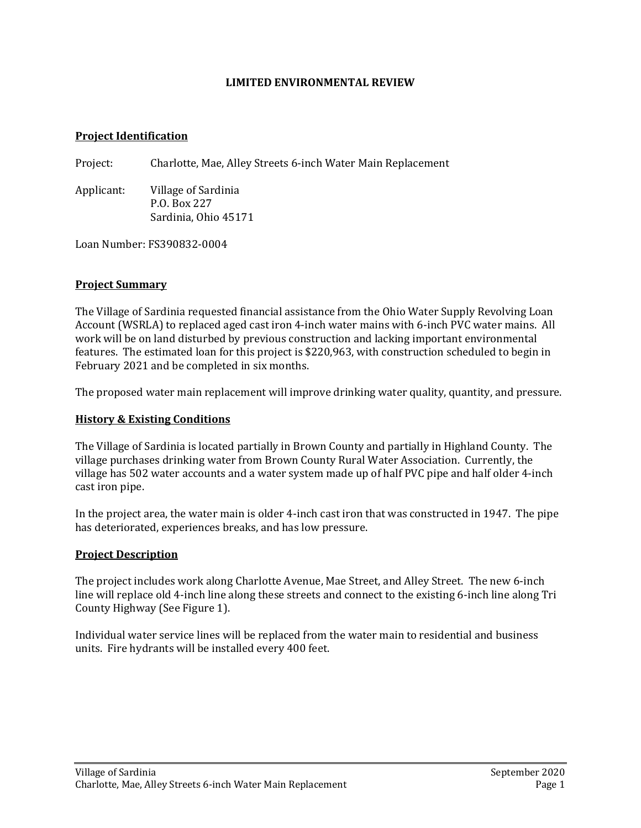#### **LIMITED ENVIRONMENTAL REVIEW**

#### **Project Identification**

Project: Charlotte, Mae, Alley Streets 6-inch Water Main Replacement

Applicant: Village of Sardinia P.O. Box 227 Sardinia, Ohio 45171

Loan Number: FS390832-0004

### **Project Summary**

The Village of Sardinia requested financial assistance from the Ohio Water Supply Revolving Loan Account (WSRLA) to replaced aged cast iron 4-inch water mains with 6-inch PVC water mains. All work will be on land disturbed by previous construction and lacking important environmental features. The estimated loan for this project is \$220,963, with construction scheduled to begin in February 2021 and be completed in six months.

The proposed water main replacement will improve drinking water quality, quantity, and pressure.

### **History & Existing Conditions**

The Village of Sardinia is located partially in Brown County and partially in Highland County. The village purchases drinking water from Brown County Rural Water Association. Currently, the village has 502 water accounts and a water system made up of half PVC pipe and half older 4-inch cast iron pipe.

In the project area, the water main is older 4-inch cast iron that was constructed in 1947. The pipe has deteriorated, experiences breaks, and has low pressure.

#### **Project Description**

The project includes work along Charlotte Avenue, Mae Street, and Alley Street. The new 6-inch line will replace old 4-inch line along these streets and connect to the existing 6-inch line along Tri County Highway (See Figure 1).

Individual water service lines will be replaced from the water main to residential and business units. Fire hydrants will be installed every 400 feet.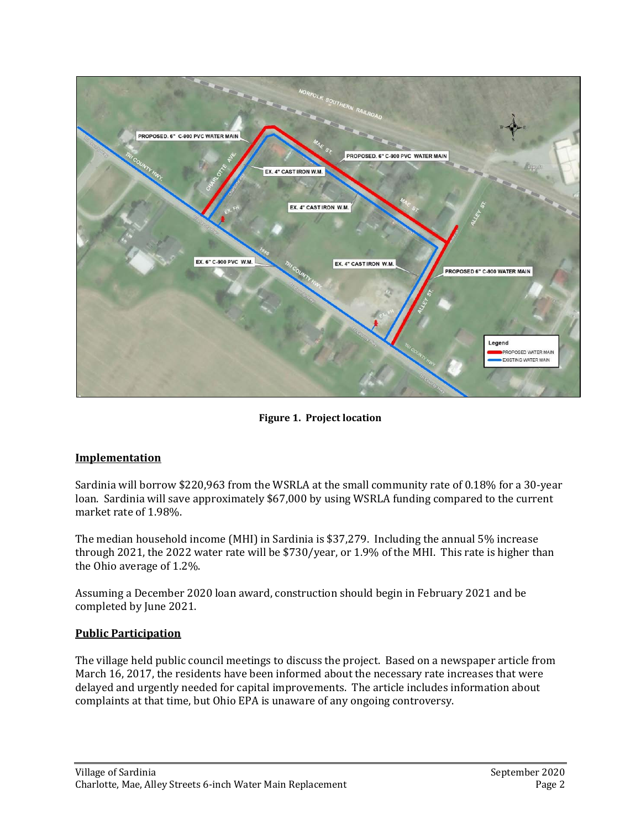

**Figure 1. Project location**

# **Implementation**

Sardinia will borrow \$220,963 from the WSRLA at the small community rate of 0.18% for a 30-year loan. Sardinia will save approximately \$67,000 by using WSRLA funding compared to the current market rate of 1.98%.

The median household income (MHI) in Sardinia is \$37,279. Including the annual 5% increase through 2021, the 2022 water rate will be \$730/year, or 1.9% of the MHI. This rate is higher than the Ohio average of 1.2%.

Assuming a December 2020 loan award, construction should begin in February 2021 and be completed by June 2021.

# **Public Participation**

The village held public council meetings to discuss the project. Based on a newspaper article from March 16, 2017, the residents have been informed about the necessary rate increases that were delayed and urgently needed for capital improvements. The article includes information about complaints at that time, but Ohio EPA is unaware of any ongoing controversy.